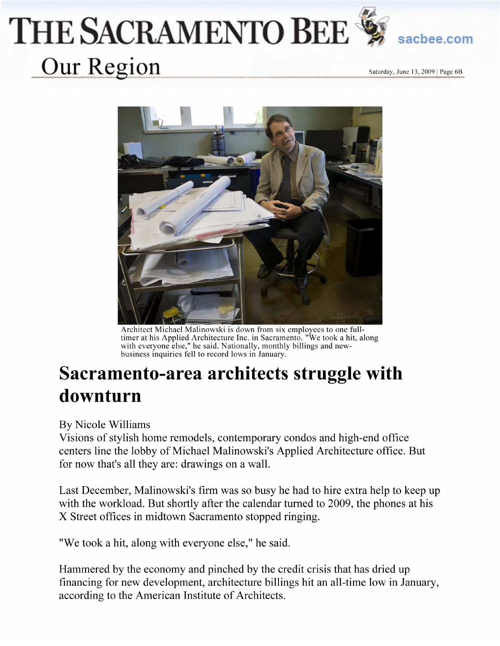## THE SACRAMENTO BEE Our Region

sacbee.com

Saturday, June 13, 2009 | Page 6B



Architect Michael Malinowski is down from six employees to one full-<br>timer at his Applied Architecture Inc. in Sacramento. "We took a hit, along with everyone else," he said. Nationally, monthly billings and newbusiness inquiries fell to record lows in January.

## Sacramento-area architects struggle with downturn

By Nicole Williams

Visions of stylish home remodels, contemporary condos and high-end office centers line the lobby of Michael Malinowski's Applied Architecture office. But for now that's all they are: drawings on a wall.

Last December, Malinowski's firm was so busy he had to hire extra help to keep up with the workload. But shortly after the calendar turned to 2009, the phones at his X Street offices in midtown Sacramento stopped ringing.

"We took a hit, along with everyone else," he said.

Hammered by the economy and pinched by the credit crisis that has dried up financing for new development, architecture billings hit an all-time low in January, according to the American Institute of Architects.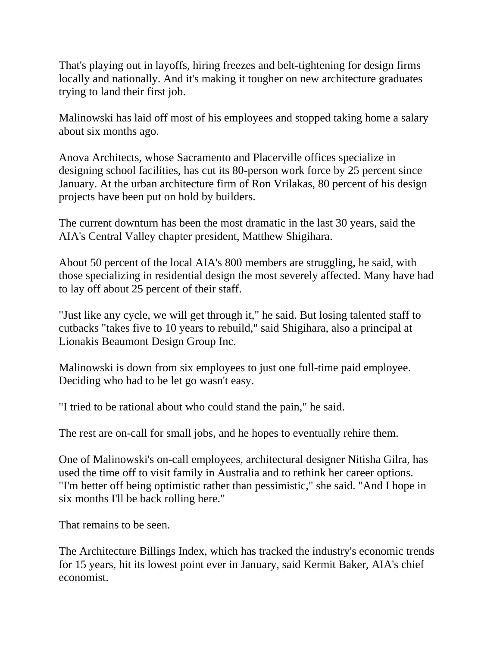That's playing out in layoffs, hiring freezes and belt-tightening for design firms locally and nationally. And it's making it tougher on new architecture graduates trying to land their first job.

Malinowski has laid off most of his employees and stopped taking home a salary about six months ago.

Anova Architects, whose Sacramento and Placerville offices specialize in designing school facilities, has cut its 80-person work force by 25 percent since January. At the urban architecture firm of Ron Vrilakas, 80 percent of his design projects have been put on hold by builders.

The current downturn has been the most dramatic in the last 30 years, said the AIA's Central Valley chapter president, Matthew Shigihara.

About 50 percent of the local AIA's 800 members are struggling, he said, with those specializing in residential design the most severely affected. Many have had to lay off about 25 percent of their staff.

"Just like any cycle, we will get through it," he said. But losing talented staff to cutbacks "takes five to 10 years to rebuild," said Shigihara, also a principal at Lionakis Beaumont Design Group Inc.

Malinowski is down from six employees to just one full-time paid employee. Deciding who had to be let go wasn't easy.

"I tried to be rational about who could stand the pain," he said.

The rest are on-call for small jobs, and he hopes to eventually rehire them.

One of Malinowski's on-call employees, architectural designer Nitisha Gilra, has used the time off to visit family in Australia and to rethink her career options. "I'm better off being optimistic rather than pessimistic," she said. "And I hope in six months I'll be back rolling here."

That remains to be seen.

The Architecture Billings Index, which has tracked the industry's economic trends for 15 years, hit its lowest point ever in January, said Kermit Baker, AIA's chief economist.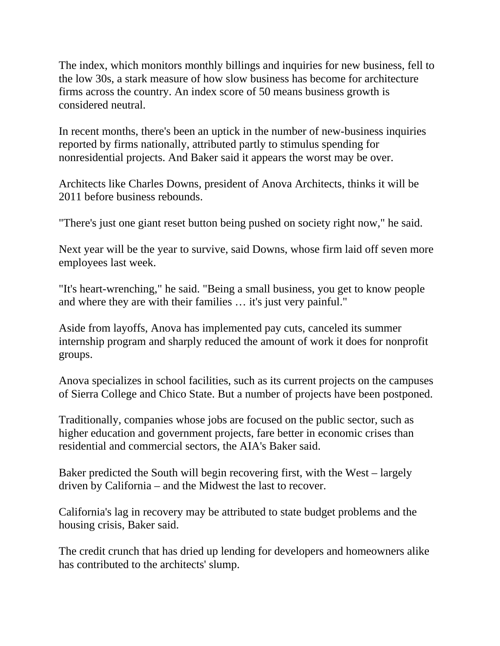The index, which monitors monthly billings and inquiries for new business, fell to the low 30s, a stark measure of how slow business has become for architecture firms across the country. An index score of 50 means business growth is considered neutral.

In recent months, there's been an uptick in the number of new-business inquiries reported by firms nationally, attributed partly to stimulus spending for nonresidential projects. And Baker said it appears the worst may be over.

Architects like Charles Downs, president of Anova Architects, thinks it will be 2011 before business rebounds.

"There's just one giant reset button being pushed on society right now," he said.

Next year will be the year to survive, said Downs, whose firm laid off seven more employees last week.

"It's heart-wrenching," he said. "Being a small business, you get to know people and where they are with their families … it's just very painful."

Aside from layoffs, Anova has implemented pay cuts, canceled its summer internship program and sharply reduced the amount of work it does for nonprofit groups.

Anova specializes in school facilities, such as its current projects on the campuses of Sierra College and Chico State. But a number of projects have been postponed.

Traditionally, companies whose jobs are focused on the public sector, such as higher education and government projects, fare better in economic crises than residential and commercial sectors, the AIA's Baker said.

Baker predicted the South will begin recovering first, with the West – largely driven by California – and the Midwest the last to recover.

California's lag in recovery may be attributed to state budget problems and the housing crisis, Baker said.

The credit crunch that has dried up lending for developers and homeowners alike has contributed to the architects' slump.